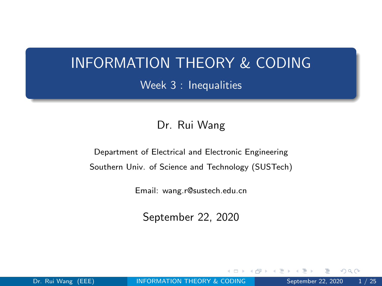# <span id="page-0-0"></span>INFORMATION THEORY & CODING Week 3 : Inequalities

#### Dr. Rui Wang

Department of Electrical and Electronic Engineering Southern Univ. of Science and Technology (SUSTech)

Email: wang.r@sustech.edu.cn

September 22, 2020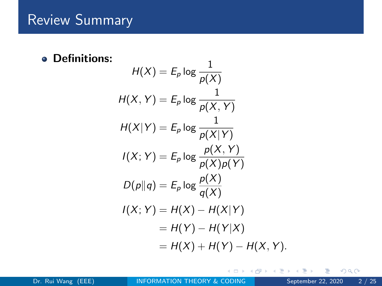## Review Summary

**• Definitions:** 

$$
H(X) = E_p \log \frac{1}{p(X)}
$$
  
\n
$$
H(X, Y) = E_p \log \frac{1}{p(X, Y)}
$$
  
\n
$$
H(X|Y) = E_p \log \frac{1}{p(X|Y)}
$$
  
\n
$$
I(X; Y) = E_p \log \frac{p(X, Y)}{p(X)p(Y)}
$$
  
\n
$$
D(p||q) = E_p \log \frac{p(X)}{q(X)}
$$
  
\n
$$
I(X; Y) = H(X) - H(X|Y)
$$
  
\n
$$
= H(Y) - H(Y|X)
$$
  
\n
$$
= H(X) + H(Y) - H(X, Y).
$$

 $\leftarrow$ 

 $\left($ ЭÞ.  $\mathcal{A}$ э  $\vert \cdot \vert$   $299$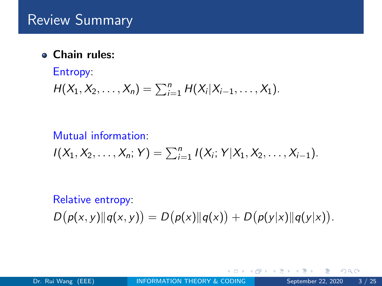Chain rules:

# Entropy:  $H(X_1, X_2, \ldots, X_n) = \sum_{i=1}^n H(X_i | X_{i-1}, \ldots, X_1).$

## Mutual information:  $I(X_1, X_2, \ldots, X_n; Y) = \sum_{i=1}^n I(X_i; Y | X_1, X_2, \ldots, X_{i-1}).$

# Relative entropy:  $D(p(x, y)||q(x, y)) = D(p(x)||q(x)) + D(p(y|x)||q(y|x)).$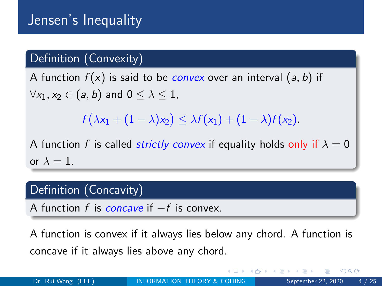### Definition (Convexity)

A function  $f(x)$  is said to be *convex* over an interval  $(a, b)$  if  $\forall x_1, x_2 \in (a, b)$  and  $0 \leq \lambda \leq 1$ ,

 $f(\lambda x_1 + (1-\lambda)x_2) \leq \lambda f(x_1) + (1-\lambda)f(x_2).$ 

A function f is called *strictly convex* if equality holds only if  $\lambda = 0$ or  $\lambda = 1$ .

### Definition (Concavity)

A function f is concave if  $-f$  is convex.

A function is convex if it always lies below any chord. A function is concave if it always lies above any chord.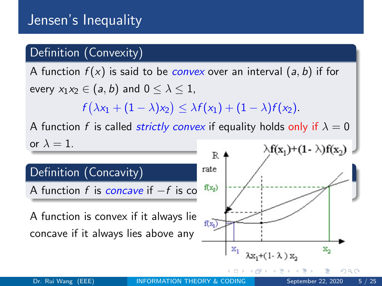### Definition (Convexity)

A function  $f(x)$  is said to be *convex* over an interval  $(a, b)$  if for every  $x_1x_2 \in (a, b)$  and  $0 \leq \lambda \leq 1$ ,  $f(\lambda x_1 + (1-\lambda)x_2) \leq \lambda f(x_1) + (1-\lambda)f(x_2).$ A function f is called *strictly convex* if equality holds only if  $\lambda = 0$ or  $\lambda = 1$ .  $\lambda f(x_1)+(1-\lambda)f(x_2)$ R rate Definition (Concavity) A function f is concave if  $-f$  is con<sup>f(x<sub>2</sub>)</sup> A function is convex if it always lie  $\frac{d}{d(x_1)}$ concave if it always lies above any  $\mathbf{x}_1$  $\mathbf{x}_2$ 

Dr. Rui Wang (EEE) **[INFORMATION THEORY & CODING](#page-0-0)** September 22, 2020 5 / 25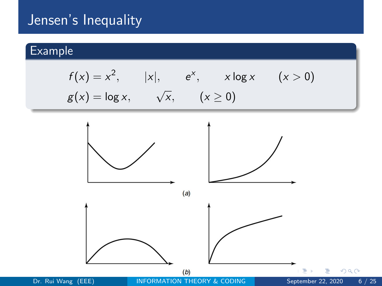## Jensen's Inequality

### Example

$$
f(x) = x2, |x|, ex, x \log x (x > 0)
$$
  
 
$$
g(x) = \log x, \quad \sqrt{x}, (x \ge 0)
$$

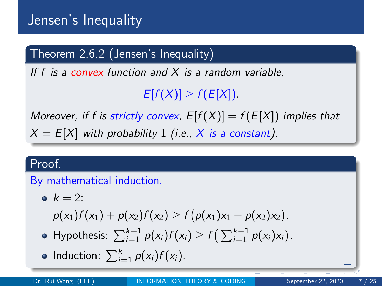### Theorem 2.6.2 (Jensen's Inequality)

If f is a convex function and  $X$  is a random variable,

 $E[f(X)] \geq f(E[X]).$ 

Moreover, if f is strictly convex,  $E[f(X)] = f(E[X])$  implies that  $X = E[X]$  with probability 1 (i.e., X is a constant).

### Proof.

### By mathematical induction.

$$
\bullet \ \ k=2:
$$

 $p(x_1)f(x_1) + p(x_2)f(x_2) \ge f(p(x_1)x_1 + p(x_2)x_2).$ 

- Hypothesis:  $\sum_{i=1}^{k-1} p(x_i) f(x_i) \ge f\left(\sum_{i=1}^{k-1} p(x_i) x_i\right)$ .
- Induction:  $\sum_{i=1}^{k} p(x_i) f(x_i)$ .

sustech-logo.pdf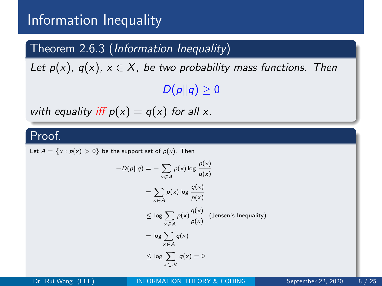### <span id="page-7-0"></span>Theorem 2.6.3 (Information Inequality)

Let  $p(x)$ ,  $q(x)$ ,  $x \in X$ , be two probability mass functions. Then  $D(p||q) \geq 0$ 

with equality iff  $p(x) = q(x)$  for all x.

#### Proof.

Let  $A = \{x : p(x) > 0\}$  be the support set of  $p(x)$ . Then

$$
-D(p||q) = -\sum_{x \in A} p(x) \log \frac{p(x)}{q(x)}
$$
  
= 
$$
\sum_{x \in A} p(x) \log \frac{q(x)}{p(x)}
$$
  

$$
\leq \log \sum_{x \in A} p(x) \frac{q(x)}{p(x)}
$$
 (Jensen's Inequality)  
= 
$$
\log \sum_{x \in A} q(x)
$$
  

$$
\leq \log \sum_{x \in X} q(x) = 0
$$

Dr. Rui Wang (EEE) [INFORMATION THEORY & CODING](#page-0-0) September 22, 2020 8 / 25

sustech-logo.pdf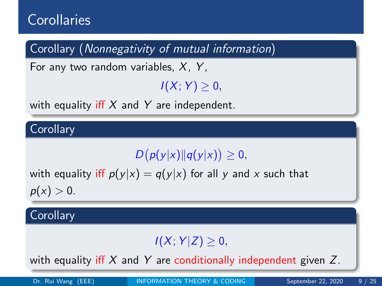# <span id="page-8-0"></span>**Corollaries**

Corollary (Nonnegativity of mutual information)

For any two random variables,  $X$ ,  $Y$ ,

## $I(X; Y) > 0$

with equality iff  $X$  and  $Y$  are independent.

**Corollary** 

 $D(p(y|x)||q(y|x)) \geq 0,$ 

with equality iff  $p(y|x) = q(y|x)$  for all y and x such that  $p(x) > 0.$ 

**Corollary** 

### $I(X; Y|Z) \geq 0$ ,

with equality iff X and Y are conditiona[lly](#page-7-0) [in](#page-9-0)[d](#page-7-0)[ep](#page-8-0)[e](#page-9-0)[nd](#page-0-0)[en](#page-0-0)[t](#page-0-0) [g](#page-0-0)[iv](#page-24-0)en [Z](#page-24-0).  $\parallel$ 

Dr. Rui Wang (EEE) [INFORMATION THEORY & CODING](#page-0-0) September 22, 2020 9 / 25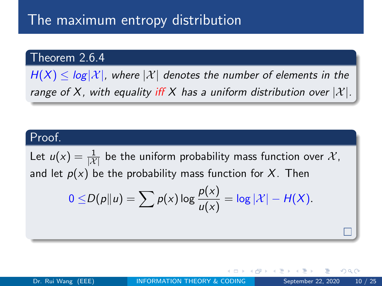## <span id="page-9-0"></span>The maximum entropy distribution

### Theorem 2.6.4

 $H(X) \leq log|\mathcal{X}|$ , where  $|\mathcal{X}|$  denotes the number of elements in the range of X, with equality iff X has a uniform distribution over  $|\mathcal{X}|$ .

#### Proof.

Let  $u(x) = \frac{1}{|{\cal X}|}$  be the uniform probability mass function over  ${\cal X},$ and let  $p(x)$  be the probability mass function for X. Then

$$
0 \leq D(p||u) = \sum p(x) \log \frac{p(x)}{u(x)} = \log |\mathcal{X}| - H(X).
$$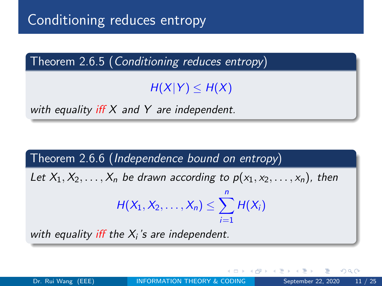Theorem 2.6.5 (Conditioning reduces entropy)

 $H(X|Y) \leq H(X)$ 

with equality iff  $X$  and  $Y$  are independent.

Theorem 2.6.6 (Independence bound on entropy)

Let  $X_1, X_2, \ldots, X_n$  be drawn according to  $p(x_1, x_2, \ldots, x_n)$ , then  $H(X_1, X_2, \ldots, X_n) \leq \sum_{i=1}^n H(X_i)$  $i=1$ with equality iff the  $X_i$ 's are independent.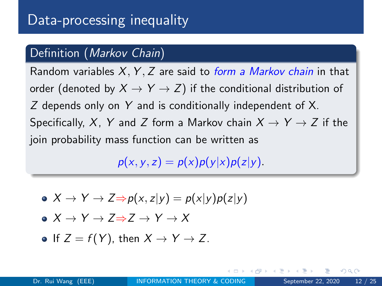### Definition (Markov Chain)

Random variables  $X, Y, Z$  are said to *form a Markov chain* in that order (denoted by  $X \to Y \to Z$ ) if the conditional distribution of Z depends only on Y and is conditionally independent of X. Specifically, X, Y and Z form a Markov chain  $X \to Y \to Z$  if the join probability mass function can be written as

 $p(x, y, z) = p(x)p(y|x)p(z|y)$ .

- $\bullet X \rightarrow Y \rightarrow Z \Rightarrow p(x, z|y) = p(x|y)p(z|y)$
- $\bullet X \rightarrow Y \rightarrow Z \rightarrow Z \rightarrow Y \rightarrow X$

• If 
$$
Z = f(Y)
$$
, then  $X \rightarrow Y \rightarrow Z$ .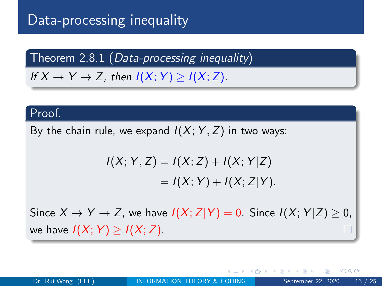# Data-processing inequality

Theorem  $2.8.1$  (Data-processing inequality)

If  $X \to Y \to Z$ , then  $I(X; Y) \geq I(X; Z)$ .

#### Proof.

By the chain rule, we expand  $I(X; Y, Z)$  in two ways:

$$
I(X; Y, Z) = I(X; Z) + I(X; Y|Z)
$$
  
= I(X; Y) + I(X; Z|Y).

Since  $X \to Y \to Z$ , we have  $I(X; Z|Y) = 0$ . Since  $I(X; Y|Z) \geq 0$ , we have  $I(X; Y) > I(X; Z)$ .

つへへ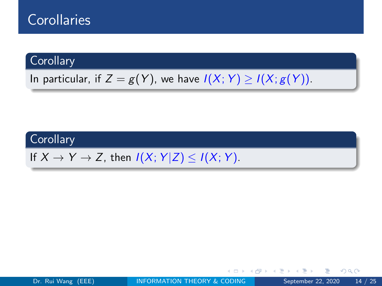## **Corollaries**

#### **Corollary**

In particular, if  $Z = g(Y)$ , we have  $I(X; Y) \geq I(X; g(Y))$ .

### **Corollary**

If  $X \to Y \to Z$ , then  $I(X; Y|Z) \leq I(X; Y)$ .

 $\leftarrow$   $\Box$ 

一本 三 トー

 $QQ$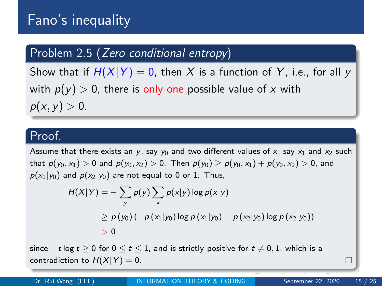### Problem 2.5 (Zero conditional entropy)

Show that if  $H(X|Y) = 0$ , then X is a function of Y, i.e., for all y with  $p(y) > 0$ , there is only one possible value of x with  $p(x, y) > 0.$ 

#### Proof.

Assume that there exists an y, say  $y_0$  and two different values of x, say  $x_1$  and  $x_2$  such that  $p(y_0, x_1) > 0$  and  $p(y_0, x_2) > 0$ . Then  $p(y_0) \geq p(y_0, x_1) + p(y_0, x_2) > 0$ , and  $p(x_1|y_0)$  and  $p(x_2|y_0)$  are not equal to 0 or 1. Thus,

$$
H(X|Y) = -\sum_{y} p(y) \sum_{x} p(x|y) \log p(x|y)
$$
  
\n
$$
\ge p(y_0) (-p(x_1|y_0) \log p(x_1|y_0) - p(x_2|y_0) \log p(x_2|y_0))
$$
  
\n
$$
> 0
$$

sustech-logo.pdf since  $-t \log t > 0$  for  $0 \le t \le 1$ , and is strictly positive for  $t \ne 0, 1$ , which is a contradiction to  $H(X|Y) = 0$ .

Dr. Rui Wang (EEE) **[INFORMATION THEORY & CODING](#page-0-0)** September 22, 2020 15 / 25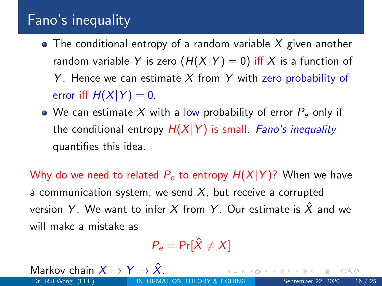- $\bullet$  The conditional entropy of a random variable X given another random variable Y is zero  $(H(X|Y) = 0)$  iff X is a function of Y. Hence we can estimate X from Y with zero probability of error iff  $H(X|Y) = 0$ .
- We can estimate X with a low probability of error  $P_e$  only if the conditional entropy  $H(X|Y)$  is small. Fano's inequality quantifies this idea.

Why do we need to related  $P_e$  to entropy  $H(X|Y)$ ? When we have a communication system, we send  $X$ , but receive a corrupted version Y. We want to infer X from Y. Our estimate is  $\hat{X}$  and we will make a mistake as

$$
P_{\rm e} = \Pr[\hat{X} \neq X]
$$

Markov chain  $X \to Y \to \hat{X}$ .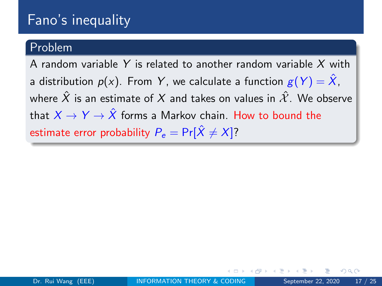#### Problem

A random variable Y is related to another random variable  $X$  with a distribution  $p(x)$ . From Y, we calculate a function  $g(Y) = \hat{X}$ , where  $\hat{X}$  is an estimate of X and takes on values in  $\hat{X}$ . We observe that  $X \to Y \to \hat{X}$  forms a Markov chain. How to bound the estimate error probability  $P_e = Pr[\hat{X} \neq X]$ ?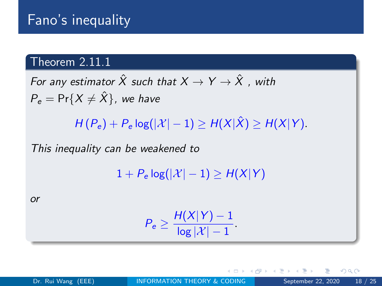### Theorem 2.11.1

For any estimator  $\hat{X}$  such that  $X \to Y \to \hat{X}$  , with  $P_e = \Pr\{X \neq \hat{X}\}\$ , we have

 $H(P_e) + P_e \log(|\mathcal{X}|-1) \geq H(X|\hat{X}) \geq H(X|Y).$ 

This inequality can be weakened to

 $1 + P_e \log(|\mathcal{X}| - 1) > H(X|Y)$ 

or

$$
P_e \geq \frac{H(X|Y) - 1}{\log |\mathcal{X}| - 1}.
$$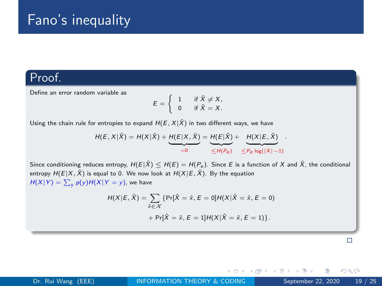#### Proof.

Define an error random variable as

$$
E = \begin{cases} 1 & \text{if } \hat{X} \neq X, \\ 0 & \text{if } \hat{X} = X. \end{cases}
$$

Using the chain rule for entropies to expand  $H(E, X|\hat{X})$  in two different ways, we have

$$
H(E, X | \hat{X}) = H(X | \hat{X}) + \underbrace{H(E | X, \hat{X})}_{=0} = \underbrace{H(E | \hat{X})}_{\leq H(P_e)} + \underbrace{H(X | E, \hat{X})}_{\leq P_e \log(|X| - 1)}.
$$

Since conditioning reduces entropy,  $H(E|\hat{X}) \leq H(E) = H(P_e)$ . Since E is a function of X and  $\hat{X}$ , the conditional entropy  $H(E|X, \hat{X})$  is equal to 0. We now look at  $H(X|E, \hat{X})$ . By the equation  $H(X|Y) = \sum_{y} p(y) H(X|Y=y)$ , we have

$$
H(X|E, \hat{X}) = \sum_{\hat{x} \in \mathcal{X}} \{ \Pr[\hat{X} = \hat{x}, E = 0] H(X|\hat{X} = \hat{x}, E = 0) + \Pr[\hat{X} = \hat{x}, E = 1] H(X|\hat{X} = \hat{x}, E = 1) \}.
$$

 $\Box$ 

 $QQ$ 

4 **EL F** 

 $A \equiv 1$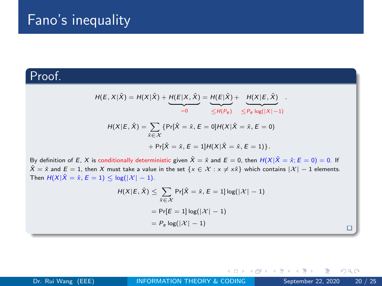### Proof.

$$
H(E, X | \hat{X}) = H(X | \hat{X}) + \underbrace{H(E | X, \hat{X})}_{=0} = \underbrace{H(E | \hat{X})}_{\leq H(P_e)} + \underbrace{H(X | E, \hat{X})}_{\leq P_e \log(|X| - 1)}
$$

$$
H(X | E, \hat{X}) = \sum_{\hat{x} \in \mathcal{X}} \{Pr[\hat{X} = \hat{x}, E = 0]H(X | \hat{X} = \hat{x}, E = 0)
$$

$$
+ Pr[\hat{X} = \hat{x}, E = 1]H(X | \hat{X} = \hat{x}, E = 1)\}.
$$

By definition of E, X is conditionally deterministic given  $\hat{X} = \hat{x}$  and  $E = 0$ , then  $H(X|\hat{X} = \hat{x}; E = 0) = 0$ . If  $\hat{X} = \hat{x}$  and  $E = 1$ , then X must take a value in the set  $\{x \in \mathcal{X} : x \neq x\}$  which contains  $|\mathcal{X}| - 1$  elements. Then  $H(X|\hat{X} = \hat{x}, E = 1) \leq log(|\mathcal{X}| - 1)$ .

$$
H(X|E, \hat{X}) \le \sum_{\hat{x} \in \mathcal{X}} \Pr[\hat{X} = \hat{x}, E = 1] \log(|\mathcal{X}| - 1)
$$

$$
= \Pr[E = 1] \log(|\mathcal{X}| - 1)
$$

$$
= P_e \log(|\mathcal{X}| - 1)
$$

4 **E F** 

э

 $\rightarrow$   $\equiv$   $\rightarrow$   $\rightarrow$ 

 $\Box$ 

 $QQ$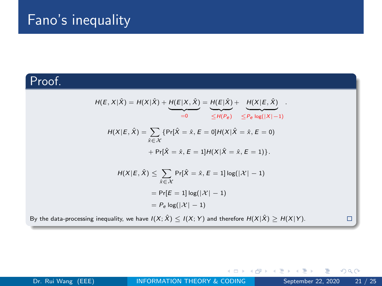### Proof.

$$
H(E, X | \hat{X}) = H(X | \hat{X}) + \underbrace{H(E | X, \hat{X})}_{=0} = \underbrace{H(E | \hat{X})}_{\leq H(P_e)} + \underbrace{H(X | E, \hat{X})}_{\leq P_e \log(|X| - 1)}
$$
\n
$$
H(X | E, \hat{X}) = \sum_{\hat{x} \in \mathcal{X}} \{ \Pr[\hat{X} = \hat{x}, E = 0] H(X | \hat{X} = \hat{x}, E = 0]
$$
\n
$$
+ \Pr[\hat{X} = \hat{x}, E = 1] H(X | \hat{X} = \hat{x}, E = 1) \}.
$$
\n
$$
H(X | E, \hat{X}) \leq \sum_{\hat{x} \in \mathcal{X}} \Pr[\hat{X} = \hat{x}, E = 1] \log(|X| - 1)
$$
\n
$$
= \Pr[E = 1] \log(|X| - 1)
$$
\n
$$
= P_e \log(|X| - 1)
$$
\nusing inequality, we have  $I(X; \hat{X}) < I(X; Y)$  and therefore  $H(X | \hat{X}) > H(X | Y)$ .

\n
$$
\Box
$$

4 0 8

- 4 何 ト - ィ ヨ ト - 4 -

By the data-processing inequality, we have  $I(X; \hat{X}) \leq I(X; Y)$  and therefore  $H(X|\hat{X}) \geq H(X|Y)$ .

 $299$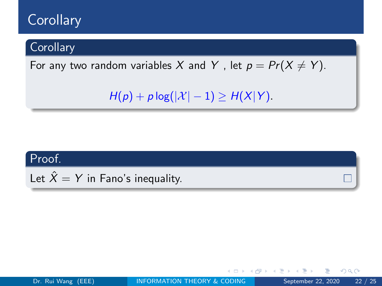# **Corollary**

### **Corollary**

For any two random variables X and Y, let  $p = Pr(X \neq Y)$ .

 $H(p) + p \log(|\mathcal{X}| - 1) \geq H(X|Y)$ .

### Proof.

Let  $\hat{X} = Y$  in Fano's inequality.

Þ

 $QQ$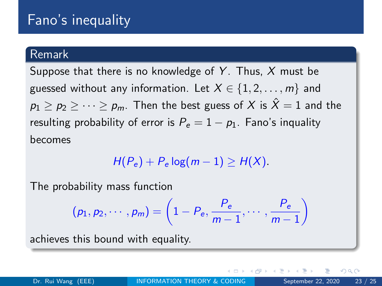#### Remark

Suppose that there is no knowledge of Y. Thus,  $X$  must be guessed without any information. Let  $X \in \{1, 2, \ldots, m\}$  and  $p_1 > p_2 > \cdots > p_m$ . Then the best guess of X is  $\hat{X} = 1$  and the resulting probability of error is  $P_e = 1 - p_1$ . Fano's inquality becomes

$$
H(P_e)+P_e \log(m-1) \geq H(X).
$$

The probability mass function

$$
(p_1, p_2, \cdots, p_m) = \left(1 - P_e, \frac{P_e}{m-1}, \cdots, \frac{P_e}{m-1}\right)
$$

achieves this bound with equality.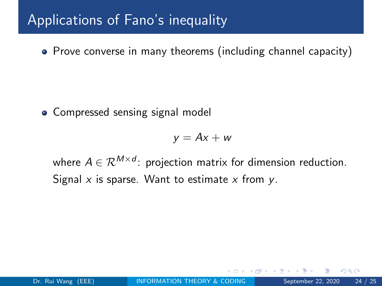# Applications of Fano's inequality

• Prove converse in many theorems (including channel capacity)

• Compressed sensing signal model

$$
y = Ax + w
$$

where  $A \in \mathcal{R}^{M \times d}$ : projection matrix for dimension reduction. Signal  $x$  is sparse. Want to estimate  $x$  from  $y$ .